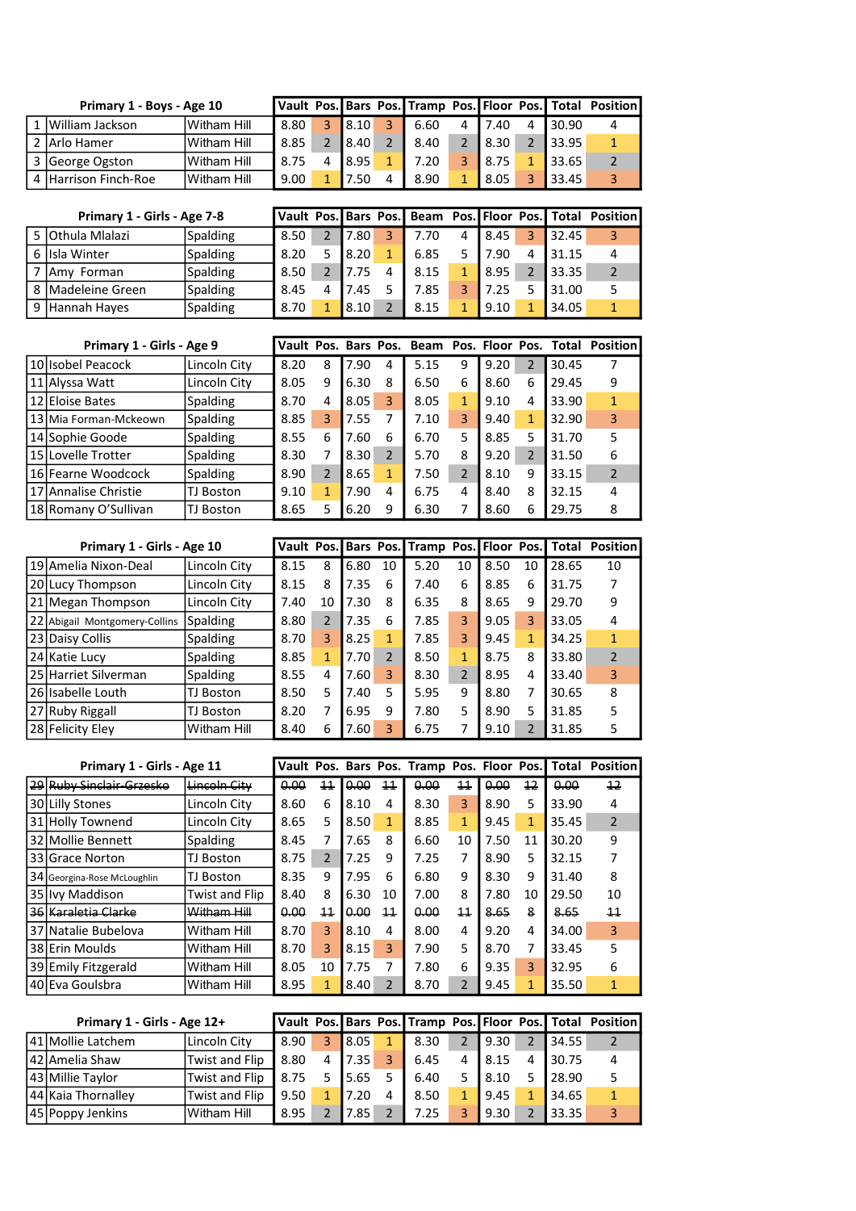| Primary 1 - Boys - Age 10 |              |      |   |      |   |      |                    |   |       | Vault Pos. Bars Pos. Tramp Pos. Floor Pos. Total Position |
|---------------------------|--------------|------|---|------|---|------|--------------------|---|-------|-----------------------------------------------------------|
| 1 William Jackson         | IWitham Hill | 8.80 | 2 | 8.10 | 2 | 6.60 | 7.40               | Δ | 30.90 |                                                           |
| 2 Arlo Hamer              | lWitham Hill | 8.85 |   | 8.40 |   | 8.40 | 48.30 <sup>/</sup> |   | 33.95 |                                                           |
| 3 George Ogston           | Witham Hill  | 8.75 |   | 8.95 |   | 7.20 | <b>8.75</b>        |   | 33.65 |                                                           |
| 4 Harrison Finch-Roe      | IWitham Hill | 9.00 |   | 7.50 |   | 8.90 | 8.05               |   | 33.45 |                                                           |

| Primary 1 - Girls - Age 7-8 |                 |      |       |              |      |      |   |       | Vault Pos. Bars Pos.   Beam Pos.   Floor Pos.   Total Position |
|-----------------------------|-----------------|------|-------|--------------|------|------|---|-------|----------------------------------------------------------------|
| 5 Othula Mlalazi            | Spalding        | 8.50 | 7.80  |              | 7.70 | 8.45 | R | 32.45 |                                                                |
| 6 IIsla Winter              | <b>Spalding</b> | 8.20 | 18.20 | $\mathbf{1}$ | 6.85 | 7.90 | 4 | 31.15 |                                                                |
| IAmy Forman                 | <b>Spalding</b> | 8.50 | 7.75  |              | 8.15 | 8.95 |   | 33.35 |                                                                |
| 8 Madeleine Green           | Spalding        | 8.45 | 7.45  |              | 7.85 | 7.25 |   | 31.00 |                                                                |
| 9 Hannah Hayes              | <b>Spalding</b> | 8.70 | 8.10  |              | 8.15 | 9.10 |   | 34.05 |                                                                |

| Primary 1 - Girls - Age 9 |                 |      |   |      |   |      |   |      |               |       | Vault Pos. Bars Pos. Beam Pos. Floor Pos. Total Position |
|---------------------------|-----------------|------|---|------|---|------|---|------|---------------|-------|----------------------------------------------------------|
| 10 Isobel Peacock         | Lincoln City    | 8.20 | 8 | 7.90 | 4 | 5.15 | 9 | 9.20 | $\mathcal{P}$ | 30.45 |                                                          |
| 11 Alyssa Watt            | Lincoln City    | 8.05 | 9 | 6.30 | 8 | 6.50 | 6 | 8.60 | 6             | 29.45 | 9                                                        |
| 12 Eloise Bates           | <b>Spalding</b> | 8.70 | 4 | 8.05 | 3 | 8.05 | 1 | 9.10 | 4             | 33.90 | 1                                                        |
| 13 Mia Forman-Mckeown     | Spalding        | 8.85 | 3 | 7.55 | 7 | 7.10 | 3 | 9.40 |               | 32.90 | 3                                                        |
| 14 Sophie Goode           | <b>Spalding</b> | 8.55 | 6 | 7.60 | 6 | 6.70 | 5 | 8.85 | 5             | 31.70 | 5                                                        |
| 15 Lovelle Trotter        | Spalding        | 8.30 |   | 8.30 | 2 | 5.70 | 8 | 9.20 |               | 31.50 | 6                                                        |
| 16 Fearne Woodcock        | <b>Spalding</b> | 8.90 |   | 8.65 | 1 | 7.50 |   | 8.10 | 9             | 33.15 |                                                          |
| 17 Annalise Christie      | TJ Boston       | 9.10 | 1 | 7.90 | 4 | 6.75 | 4 | 8.40 | 8             | 32.15 | 4                                                        |
| 18 Romany O'Sullivan      | TJ Boston       | 8.65 | 5 | 6.20 | 9 | 6.30 |   | 8.60 | 6             | 29.75 | 8                                                        |

| Primary 1 - Girls - Age 10    |                    |      |                |      |                |      |               |      |               |       | Vault Pos. Bars Pos. Tramp Pos. Floor Pos. Total Position |
|-------------------------------|--------------------|------|----------------|------|----------------|------|---------------|------|---------------|-------|-----------------------------------------------------------|
| 19 Amelia Nixon-Deal          | Lincoln City       | 8.15 | 8              | 6.80 | 10             | 5.20 | 10            | 8.50 | 10            | 28.65 | 10                                                        |
| 20 Lucy Thompson              | Lincoln City       | 8.15 | 8              | 7.35 | 6              | 7.40 | 6             | 8.85 | 6             | 31.75 |                                                           |
| 21 Megan Thompson             | Lincoln City       | 7.40 | 10             | 7.30 | 8              | 6.35 | 8             | 8.65 | 9             | 29.70 | 9                                                         |
| 22 Abigail Montgomery-Collins | <b>Spalding</b>    | 8.80 | $\overline{2}$ | 7.35 | 6              | 7.85 | 3             | 9.05 | 3             | 33.05 | 4                                                         |
| 23 Daisy Collis               | <b>Spalding</b>    | 8.70 | 3              | 8.25 | 1              | 7.85 | 3             | 9.45 | 1             | 34.25 | 1                                                         |
| 24 Katie Lucy                 | Spalding           | 8.85 | 1              | 7.70 | $\mathfrak{p}$ | 8.50 | 1             | 8.75 | 8             | 33.80 | $\mathcal{P}$                                             |
| 25 Harriet Silverman          | <b>Spalding</b>    | 8.55 | 4              | 7.60 | 3              | 8.30 | $\mathcal{P}$ | 8.95 | 4             | 33.40 | 3                                                         |
| 26 Isabelle Louth             | TJ Boston          | 8.50 | 5              | 7.40 | 5              | 5.95 | 9             | 8.80 | 7             | 30.65 | 8                                                         |
| 27 Ruby Riggall               | TJ Boston          | 8.20 | 7              | 6.95 | 9              | 7.80 | 5             | 8.90 | 5             | 31.85 | 5                                                         |
| 28 Felicity Elev              | <b>Witham Hill</b> | 8.40 | 6              | 7.60 | 3              | 6.75 |               | 9.10 | $\mathcal{P}$ | 31.85 | 5                                                         |

|      | Primary 1 - Girls - Age 11         |                         |      |                 |      |                 | Vault Pos. Bars Pos. Tramp Pos. Floor Pos. |                 |      |    | Total | <b>Position</b> |
|------|------------------------------------|-------------------------|------|-----------------|------|-----------------|--------------------------------------------|-----------------|------|----|-------|-----------------|
| ا 29 | l <del>Rubv Sinclair-Grzesko</del> | <del>Lincoln Citv</del> | 0.00 | 11              | 0.00 | $\overline{11}$ | 0.00                                       | 11              | 0.00 | 12 | 0.00  | $\overline{12}$ |
|      | 30 Lilly Stones                    | Lincoln City            | 8.60 | 6               | 8.10 | 4               | 8.30                                       | 3               | 8.90 | 5  | 33.90 | 4               |
|      | 31 Holly Townend                   | Lincoln Citv            | 8.65 | 5               | 8.50 | 1               | 8.85                                       | 1               | 9.45 | 1  | 35.45 | $\overline{2}$  |
|      | 32 Mollie Bennett                  | Spalding                | 8.45 | 7               | 7.65 | 8               | 6.60                                       | 10              | 7.50 | 11 | 30.20 | 9               |
|      | 33 Grace Norton                    | TJ Boston               | 8.75 | $\overline{2}$  | 7.25 | 9               | 7.25                                       | 7               | 8.90 | 5  | 32.15 |                 |
|      | 34 Georgina-Rose McLoughlin        | TJ Boston               | 8.35 | 9               | 7.95 | 6               | 6.80                                       | 9               | 8.30 | 9  | 31.40 | 8               |
|      | 35 Ivy Maddison                    | Twist and Flip          | 8.40 | 8               | 6.30 | 10              | 7.00                                       | 8               | 7.80 | 10 | 29.50 | 10              |
|      | 36 Karaletia Clarke                | Witham Hill             | 0.00 | $\overline{11}$ | 0.00 | 11              | 0.00                                       | $\overline{11}$ | 8.65 | 8  | 8.65  | $\overline{11}$ |
|      | 37 Natalie Bubelova                | Witham Hill             | 8.70 | 3               | 8.10 | 4               | 8.00                                       | 4               | 9.20 | 4  | 34.00 | 3               |
|      | 38 Erin Moulds                     | Witham Hill             | 8.70 | 3               | 8.15 | 3               | 7.90                                       | 5               | 8.70 | 7  | 33.45 | 5               |
|      | 39 Emily Fitzgerald                | Witham Hill             | 8.05 | 10              | 7.75 | 7               | 7.80                                       | 6               | 9.35 | 3  | 32.95 | 6               |
|      | 40 Eva Goulsbra                    | <b>Witham Hill</b>      | 8.95 | 1               | 8.40 | $\overline{2}$  | 8.70                                       | 2               | 9.45 | 1  | 35.50 |                 |

| Primary 1 - Girls - Age 12+ |                |      |   |       |   |      |      |   |       | Vault Pos. Bars Pos. Tramp Pos. Floor Pos. Total Position |
|-----------------------------|----------------|------|---|-------|---|------|------|---|-------|-----------------------------------------------------------|
| 41 Mollie Latchem           | Lincoln City   | 8.90 | 3 | 8.05  |   | 8.30 | 9.30 |   | 34.55 |                                                           |
| 142 Amelia Shaw             | Twist and Flip | 8.80 | 4 | 17.35 |   | 6.45 | 8.15 | 4 | 30.75 | 4                                                         |
| 43 Millie Taylor            | Twist and Flip | 8.75 |   | 5.65  |   | 6.40 | 8.10 |   | 28.90 |                                                           |
| 144 Kaia Thornallev         | Twist and Flip | 9.50 |   | 7.20  | 4 | 8.50 | 9.45 | 1 | 34.65 |                                                           |
| 45 Poppy Jenkins            | IWitham Hill   | 8.95 |   | 7.85  |   | 7.25 | 9.30 |   | 33.35 |                                                           |